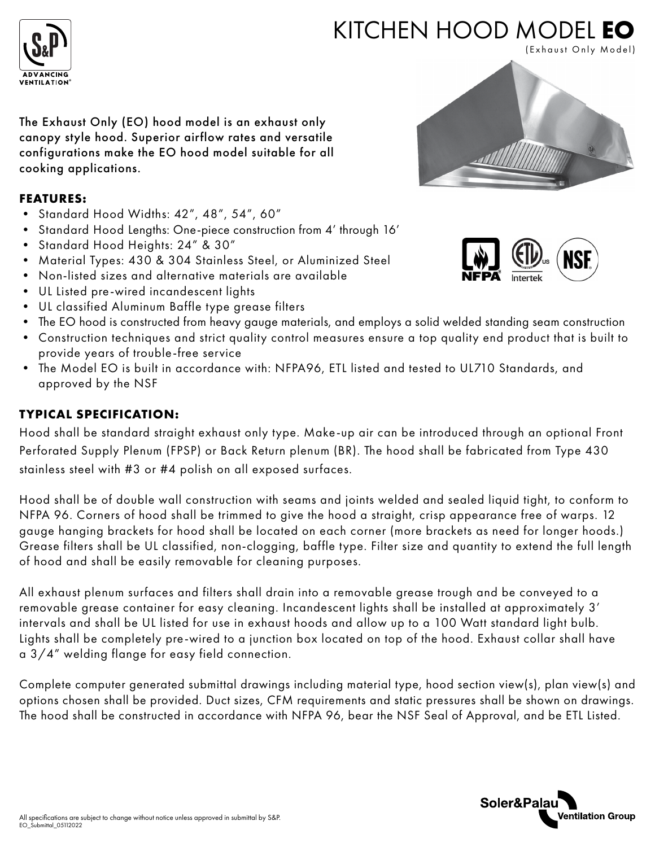

# KITCHEN HOOD MODEL **EO**

(Exhaust Only Model)

The Exhaust Only (EO) hood model is an exhaust only canopy style hood. Superior airflow rates and versatile configurations make the EO hood model suitable for all cooking applications.

#### **FEATURES:**

- Standard Hood Widths: 42", 48", 54", 60"
- Standard Hood Lengths: One-piece construction from 4' through 16'
- Standard Hood Heights: 24" & 30"
- Material Types: 430 & 304 Stainless Steel, or Aluminized Steel
- Non-listed sizes and alternative materials are available
- UL Listed pre-wired incandescent lights
- UL classified Aluminum Baffle type grease filters
- The EO hood is constructed from heavy gauge materials, and employs a solid welded standing seam construction
- Construction techniques and strict quality control measures ensure a top quality end product that is built to provide years of trouble-free service
- The Model EO is built in accordance with: NFPA96, ETL listed and tested to UL710 Standards, and approved by the NSF

## **TYPICAL SPECIFICATION:**

Hood shall be standard straight exhaust only type. Make-up air can be introduced through an optional Front Perforated Supply Plenum (FPSP) or Back Return plenum (BR). The hood shall be fabricated from Type 430 stainless steel with #3 or #4 polish on all exposed surfaces.

Hood shall be of double wall construction with seams and joints welded and sealed liquid tight, to conform to NFPA 96. Corners of hood shall be trimmed to give the hood a straight, crisp appearance free of warps. 12 gauge hanging brackets for hood shall be located on each corner (more brackets as need for longer hoods.) Grease filters shall be UL classified, non-clogging, baffle type. Filter size and quantity to extend the full length of hood and shall be easily removable for cleaning purposes.

All exhaust plenum surfaces and filters shall drain into a removable grease trough and be conveyed to a removable grease container for easy cleaning. Incandescent lights shall be installed at approximately 3' intervals and shall be UL listed for use in exhaust hoods and allow up to a 100 Watt standard light bulb. Lights shall be completely pre-wired to a junction box located on top of the hood. Exhaust collar shall have a 3/4" welding flange for easy field connection.

Complete computer generated submittal drawings including material type, hood section view(s), plan view(s) and options chosen shall be provided. Duct sizes, CFM requirements and static pressures shall be shown on drawings. The hood shall be constructed in accordance with NFPA 96, bear the NSF Seal of Approval, and be ETL Listed.